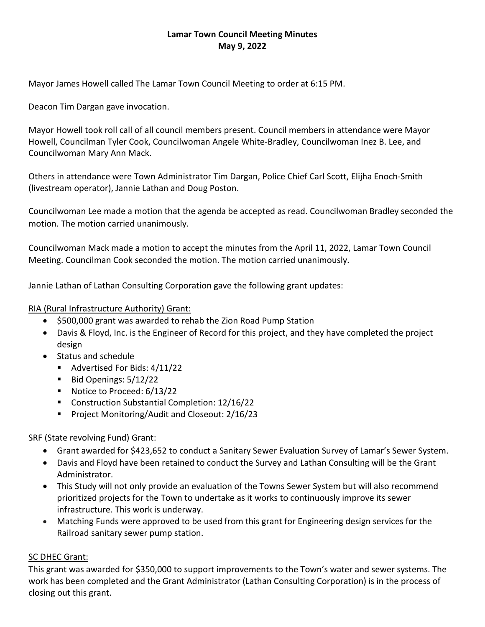# **Lamar Town Council Meeting Minutes May 9, 2022**

Mayor James Howell called The Lamar Town Council Meeting to order at 6:15 PM.

Deacon Tim Dargan gave invocation.

Mayor Howell took roll call of all council members present. Council members in attendance were Mayor Howell, Councilman Tyler Cook, Councilwoman Angele White-Bradley, Councilwoman Inez B. Lee, and Councilwoman Mary Ann Mack.

Others in attendance were Town Administrator Tim Dargan, Police Chief Carl Scott, Elijha Enoch-Smith (livestream operator), Jannie Lathan and Doug Poston.

Councilwoman Lee made a motion that the agenda be accepted as read. Councilwoman Bradley seconded the motion. The motion carried unanimously.

Councilwoman Mack made a motion to accept the minutes from the April 11, 2022, Lamar Town Council Meeting. Councilman Cook seconded the motion. The motion carried unanimously.

Jannie Lathan of Lathan Consulting Corporation gave the following grant updates:

#### RIA (Rural Infrastructure Authority) Grant:

- \$500,000 grant was awarded to rehab the Zion Road Pump Station
- Davis & Floyd, Inc. is the Engineer of Record for this project, and they have completed the project design
- Status and schedule
	- Advertised For Bids: 4/11/22
	- $\blacksquare$  Bid Openings:  $5/12/22$
	- Notice to Proceed: 6/13/22
	- Construction Substantial Completion: 12/16/22
	- **Project Monitoring/Audit and Closeout: 2/16/23**

## SRF (State revolving Fund) Grant:

- Grant awarded for \$423,652 to conduct a Sanitary Sewer Evaluation Survey of Lamar's Sewer System.
- Davis and Floyd have been retained to conduct the Survey and Lathan Consulting will be the Grant Administrator.
- This Study will not only provide an evaluation of the Towns Sewer System but will also recommend prioritized projects for the Town to undertake as it works to continuously improve its sewer infrastructure. This work is underway.
- Matching Funds were approved to be used from this grant for Engineering design services for the Railroad sanitary sewer pump station.

## SC DHEC Grant:

This grant was awarded for \$350,000 to support improvements to the Town's water and sewer systems. The work has been completed and the Grant Administrator (Lathan Consulting Corporation) is in the process of closing out this grant.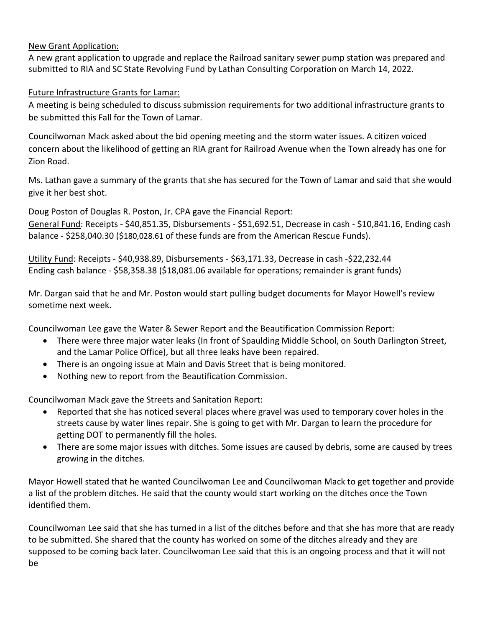## New Grant Application:

A new grant application to upgrade and replace the Railroad sanitary sewer pump station was prepared and submitted to RIA and SC State Revolving Fund by Lathan Consulting Corporation on March 14, 2022.

Future Infrastructure Grants for Lamar:

A meeting is being scheduled to discuss submission requirements for two additional infrastructure grants to be submitted this Fall for the Town of Lamar.

Councilwoman Mack asked about the bid opening meeting and the storm water issues. A citizen voiced concern about the likelihood of getting an RIA grant for Railroad Avenue when the Town already has one for Zion Road.

Ms. Lathan gave a summary of the grants that she has secured for the Town of Lamar and said that she would give it her best shot.

Doug Poston of Douglas R. Poston, Jr. CPA gave the Financial Report:

General Fund: Receipts - \$40,851.35, Disbursements - \$51,692.51, Decrease in cash - \$10,841.16, Ending cash balance - \$258,040.30 (\$180,028.61 of these funds are from the American Rescue Funds).

Utility Fund: Receipts - \$40,938.89, Disbursements - \$63,171.33, Decrease in cash -\$22,232.44 Ending cash balance - \$58,358.38 (\$18,081.06 available for operations; remainder is grant funds)

Mr. Dargan said that he and Mr. Poston would start pulling budget documents for Mayor Howell's review sometime next week.

Councilwoman Lee gave the Water & Sewer Report and the Beautification Commission Report:

- There were three major water leaks (In front of Spaulding Middle School, on South Darlington Street, and the Lamar Police Office), but all three leaks have been repaired.
- There is an ongoing issue at Main and Davis Street that is being monitored.
- Nothing new to report from the Beautification Commission.

Councilwoman Mack gave the Streets and Sanitation Report:

- Reported that she has noticed several places where gravel was used to temporary cover holes in the streets cause by water lines repair. She is going to get with Mr. Dargan to learn the procedure for getting DOT to permanently fill the holes.
- There are some major issues with ditches. Some issues are caused by debris, some are caused by trees growing in the ditches.

Mayor Howell stated that he wanted Councilwoman Lee and Councilwoman Mack to get together and provide a list of the problem ditches. He said that the county would start working on the ditches once the Town identified them.

Councilwoman Lee said that she has turned in a list of the ditches before and that she has more that are ready to be submitted. She shared that the county has worked on some of the ditches already and they are supposed to be coming back later. Councilwoman Lee said that this is an ongoing process and that it will not be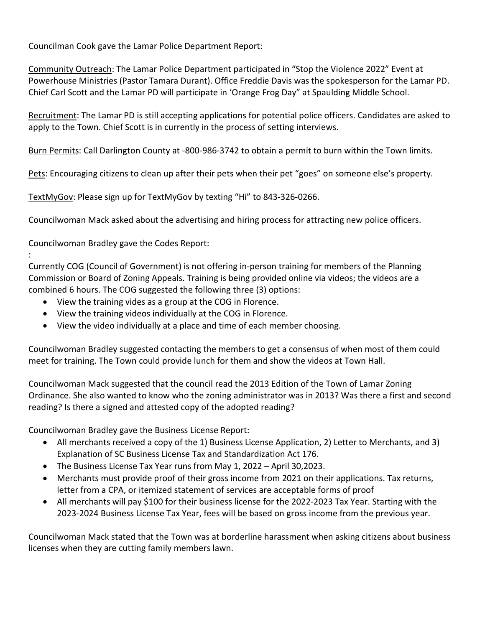Councilman Cook gave the Lamar Police Department Report:

Community Outreach: The Lamar Police Department participated in "Stop the Violence 2022" Event at Powerhouse Ministries (Pastor Tamara Durant). Office Freddie Davis was the spokesperson for the Lamar PD. Chief Carl Scott and the Lamar PD will participate in 'Orange Frog Day" at Spaulding Middle School.

Recruitment: The Lamar PD is still accepting applications for potential police officers. Candidates are asked to apply to the Town. Chief Scott is in currently in the process of setting interviews.

Burn Permits: Call Darlington County at -800-986-3742 to obtain a permit to burn within the Town limits.

Pets: Encouraging citizens to clean up after their pets when their pet "goes" on someone else's property.

TextMyGov: Please sign up for TextMyGov by texting "Hi" to 843-326-0266.

Councilwoman Mack asked about the advertising and hiring process for attracting new police officers.

Councilwoman Bradley gave the Codes Report:

:

Currently COG (Council of Government) is not offering in-person training for members of the Planning Commission or Board of Zoning Appeals. Training is being provided online via videos; the videos are a combined 6 hours. The COG suggested the following three (3) options:

- View the training vides as a group at the COG in Florence.
- View the training videos individually at the COG in Florence.
- View the video individually at a place and time of each member choosing.

Councilwoman Bradley suggested contacting the members to get a consensus of when most of them could meet for training. The Town could provide lunch for them and show the videos at Town Hall.

Councilwoman Mack suggested that the council read the 2013 Edition of the Town of Lamar Zoning Ordinance. She also wanted to know who the zoning administrator was in 2013? Was there a first and second reading? Is there a signed and attested copy of the adopted reading?

Councilwoman Bradley gave the Business License Report:

- All merchants received a copy of the 1) Business License Application, 2) Letter to Merchants, and 3) Explanation of SC Business License Tax and Standardization Act 176.
- The Business License Tax Year runs from May 1, 2022 April 30,2023.
- Merchants must provide proof of their gross income from 2021 on their applications. Tax returns, letter from a CPA, or itemized statement of services are acceptable forms of proof
- All merchants will pay \$100 for their business license for the 2022-2023 Tax Year. Starting with the 2023-2024 Business License Tax Year, fees will be based on gross income from the previous year.

Councilwoman Mack stated that the Town was at borderline harassment when asking citizens about business licenses when they are cutting family members lawn.